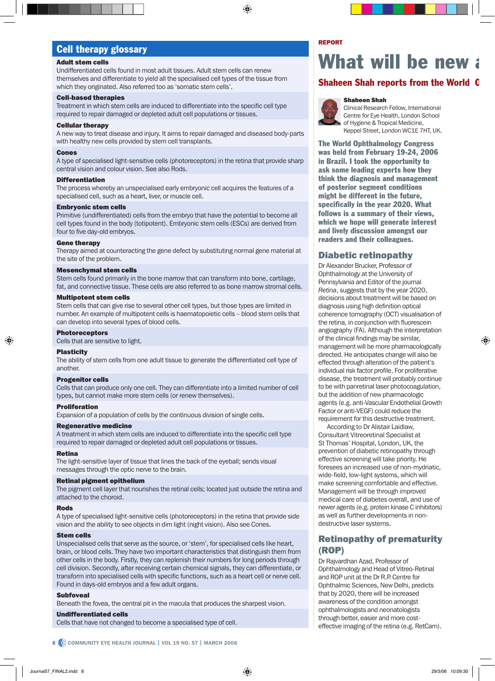# Cell therapy glossary

#### Adult stem cells

Undifferentiated cells found in most adult tissues. Adult stem cells can renew themselves and differentiate to yield all the specialised cell types of the tissue from which they originated. Also referred too as 'somatic stem cells'.

#### Cell-based therapies

Treatment in which stem cells are induced to differentiate into the specific cell type required to repair damaged or depleted adult cell populations or tissues.

#### Cellular therapy

A new way to treat disease and injury. It aims to repair damaged and diseased body-parts with healthy new cells provided by stem cell transplants.

#### Cones

A type of specialised light-sensitive cells (photoreceptors) in the retina that provide sharp central vision and colour vision. See also Rods.

#### **Differentiation**

The process whereby an unspecialised early embryonic cell acquires the features of a specialised cell, such as a heart, liver, or muscle cell.

#### Embryonic stem cells

Primitive (undifferentiated) cells from the embryo that have the potential to become all cell types found in the body (totipotent). Embryonic stem cells (ESCs) are derived from four to five day-old embryos.

#### Gene therapy

Therapy aimed at counteracting the gene defect by substituting normal gene material at the site of the problem.

#### Mesenchymal stem cells

Stem cells found primarily in the bone marrow that can transform into bone, cartilage, fat, and connective tissue. These cells are also referred to as bone marrow stromal cells.

#### Multipotent stem cells

Stem cells that can give rise to several other cell types, but those types are limited in number. An example of multipotent cells is haematopoietic cells – blood stem cells that can develop into several types of blood cells.

#### Photoreceptors

Cells that are sensitive to light.

#### **Plasticity**

The ability of stem cells from one adult tissue to generate the differentiated cell type of another.

#### Progenitor cells

Cells that can produce only one cell. They can differentiate into a limited number of cell types, but cannot make more stem cells (or renew themselves).

#### Proliferation

Expansion of a population of cells by the continuous division of single cells.

#### Regenerative medicine

A treatment in which stem cells are induced to differentiate into the specific cell type required to repair damaged or depleted adult cell populations or tissues.

#### Retina

The light-sensitive layer of tissue that lines the back of the eyeball; sends visual messages through the optic nerve to the brain.

#### Retinal pigment epithelium

The pigment cell layer that nourishes the retinal cells; located just outside the retina and attached to the choroid.

#### Rods

A type of specialised light-sensitive cells (photoreceptors) in the retina that provide side vision and the ability to see objects in dim light (night vision). Also see Cones.

#### Stem cells

Unspecialised cells that serve as the source, or 'stem', for specialised cells like heart, brain, or blood cells. They have two important characteristics that distinguish them from other cells in the body. Firstly, they can replenish their numbers for long periods through cell division. Secondly, after receiving certain chemical signals, they can differentiate, or transform into specialised cells with specific functions, such as a heart cell or nerve cell. Found in days-old embryos and a few adult organs.

#### **Subfoveal**

Beneath the fovea, the central pit in the macula that produces the sharpest vision.

#### Undifferentiated cells

Cells that have not changed to become a specialised type of cell.

# What will be new

## **Shaheen Shah reports from the World**

#### Shaheen Shah



Clinical Research Fellow, International Centre for Eye Health, London School of Hygiene & Tropical Medicine, Keppel Street, London WC1E 7HT, UK.

The World Ophthalmology Congress was held from February 19-24, 2006 in Brazil. I took the opportunity to ask some leading experts how they think the diagnosis and management of posterior segment conditions might be different in the future, specifically in the year 2020. What follows is a summary of their views, which we hope will generate interest and lively discussion amongst our readers and their colleagues.

### Diabetic retinopathy

Dr Alexander Brucker, Professor of Ophthalmology at the University of Pennsylvania and Editor of the journal *Retina*, suggests that by the year 2020, decisions about treatment will be based on diagnosis using high definition optical coherence tomography (OCT) visualisation of the retina, in conjunction with fluorescein angiography (FA). Although the interpretation of the clinical findings may be similar, management will be more pharmacologically directed. He anticipates change will also be effected through alteration of the patient's individual risk factor profile. For proliferative disease, the treatment will probably continue to be with panretinal laser photocoagulation, but the addition of new pharmacologic agents (e.g. anti-Vascular Endothelial Growth Factor or anti-VEGF) could reduce the requirement for this destructive treatment.

According to Dr Alistair Laidlaw, Consultant Vitreoretinal Specialist at St Thomas' Hospital, London, UK, the prevention of diabetic retinopathy through effective screening will take priority. He foresees an increased use of non-mydriatic, wide-field, low-light systems, which will make screening comfortable and effective. Management will be through improved medical care of diabetes overall, and use of newer agents (e.g. protein kinase C inhibitors) as well as further developments in nondestructive laser systems.

## Retinopathy of prematurity (ROP)

Dr Rajvardhan Azad, Professor of Ophthalmology and Head of Vitreo-Retinal and ROP unit at the Dr R.P. Centre for Ophthalmic Sciences, New Delhi, predicts that by 2020, there will be increased awareness of the condition amongst ophthalmologists and neonatologists through better, easier and more costeffective imaging of the retina (e.g. RetCam).